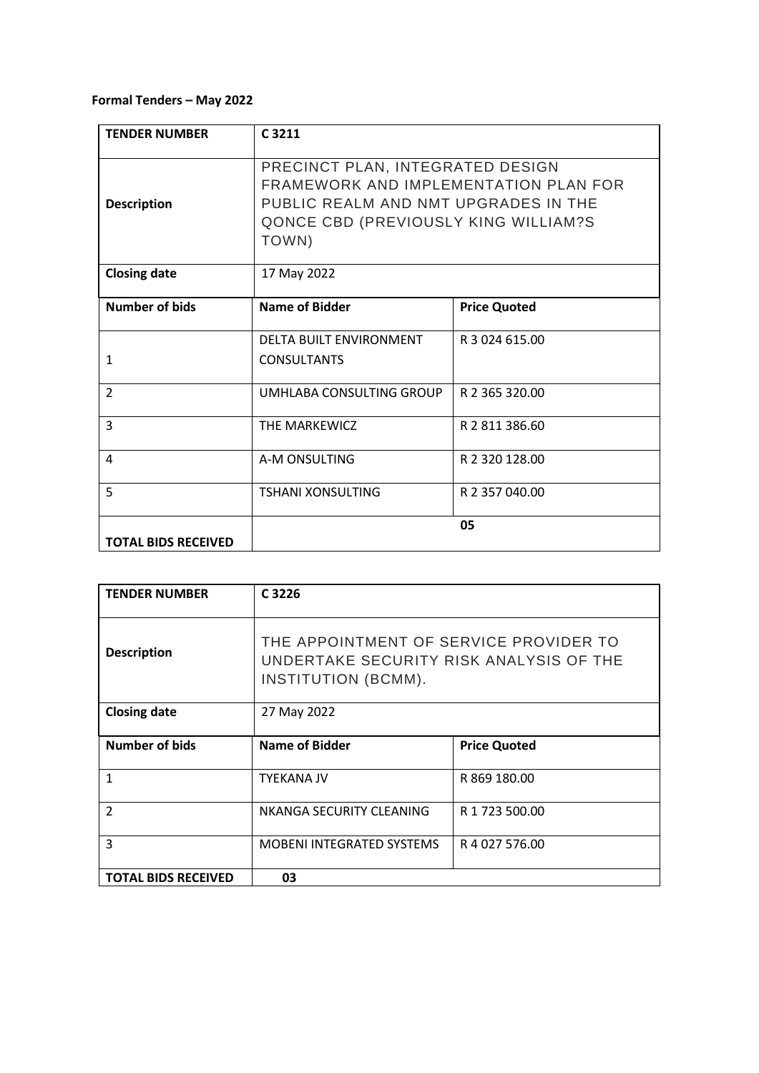## **Formal Tenders – May 2022**

| <b>TENDER NUMBER</b>       | C <sub>3211</sub>                                                                                                                                                   |                     |
|----------------------------|---------------------------------------------------------------------------------------------------------------------------------------------------------------------|---------------------|
| <b>Description</b>         | PRECINCT PLAN, INTEGRATED DESIGN<br>FRAMEWORK AND IMPLEMENTATION PLAN FOR<br>PUBLIC REALM AND NMT UPGRADES IN THE<br>QONCE CBD (PREVIOUSLY KING WILLIAM?S)<br>TOWN) |                     |
| <b>Closing date</b>        | 17 May 2022                                                                                                                                                         |                     |
| Number of bids             | <b>Name of Bidder</b>                                                                                                                                               | <b>Price Quoted</b> |
| $\mathbf{1}$               | DELTA BUILT ENVIRONMENT<br><b>CONSULTANTS</b>                                                                                                                       | R 3 024 615.00      |
| $\overline{2}$             | UMHLABA CONSULTING GROUP                                                                                                                                            | R 2 365 320.00      |
| $\overline{3}$             | THE MARKEWICZ                                                                                                                                                       | R 2 811 386.60      |
| 4                          | A-M ONSULTING                                                                                                                                                       | R 2 320 128.00      |
| 5                          | <b>TSHANI XONSULTING</b>                                                                                                                                            | R 2 357 040.00      |
| <b>TOTAL BIDS RECEIVED</b> |                                                                                                                                                                     | 05                  |

| <b>TENDER NUMBER</b>       | C 3226                                                                                                   |                     |
|----------------------------|----------------------------------------------------------------------------------------------------------|---------------------|
| <b>Description</b>         | THE APPOINTMENT OF SERVICE PROVIDER TO<br>UNDERTAKE SECURITY RISK ANALYSIS OF THE<br>INSTITUTION (BCMM). |                     |
| <b>Closing date</b>        | 27 May 2022                                                                                              |                     |
| Number of bids             | Name of Bidder                                                                                           | <b>Price Quoted</b> |
| 1                          | <b>TYEKANA JV</b>                                                                                        | R 869 180.00        |
| $\overline{2}$             | NKANGA SECURITY CLEANING                                                                                 | R 1 723 500.00      |
| 3                          | <b>MOBENI INTEGRATED SYSTEMS</b>                                                                         | R 4 027 576.00      |
| <b>TOTAL BIDS RECEIVED</b> | 03                                                                                                       |                     |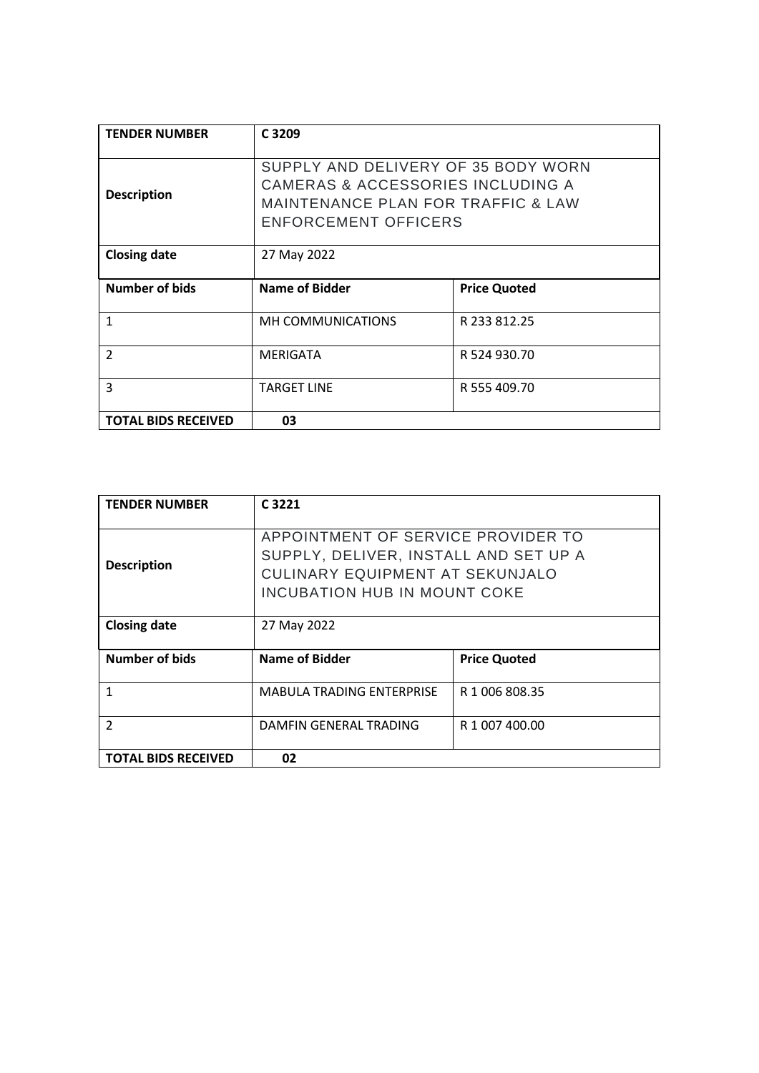| <b>TENDER NUMBER</b>       | C 3209                                                                                                                                                              |                     |
|----------------------------|---------------------------------------------------------------------------------------------------------------------------------------------------------------------|---------------------|
| <b>Description</b>         | SUPPLY AND DELIVERY OF 35 BODY WORN<br><b>CAMERAS &amp; ACCESSORIES INCLUDING A</b><br><b>MAINTENANCE PLAN FOR TRAFFIC &amp; LAW</b><br><b>ENFORCEMENT OFFICERS</b> |                     |
| <b>Closing date</b>        | 27 May 2022                                                                                                                                                         |                     |
| <b>Number of bids</b>      | Name of Bidder                                                                                                                                                      | <b>Price Quoted</b> |
| 1                          | <b>MH COMMUNICATIONS</b>                                                                                                                                            | R 233 812.25        |
| $\overline{2}$             | MERIGATA                                                                                                                                                            | R 524 930.70        |
| 3                          | <b>TARGET LINE</b>                                                                                                                                                  | R 555 409.70        |
| <b>TOTAL BIDS RECEIVED</b> | 03                                                                                                                                                                  |                     |

| <b>TENDER NUMBER</b>       | C <sub>3221</sub>                                                                                                                                     |                     |
|----------------------------|-------------------------------------------------------------------------------------------------------------------------------------------------------|---------------------|
| <b>Description</b>         | APPOINTMENT OF SERVICE PROVIDER TO<br>SUPPLY, DELIVER, INSTALL AND SET UP A<br>CULINARY EQUIPMENT AT SEKUNJALO<br><b>INCUBATION HUB IN MOUNT COKE</b> |                     |
| <b>Closing date</b>        | 27 May 2022                                                                                                                                           |                     |
| Number of bids             | Name of Bidder                                                                                                                                        | <b>Price Quoted</b> |
| 1                          | <b>MABULA TRADING ENTERPRISE</b>                                                                                                                      | R 1 006 808.35      |
| $\mathcal{P}$              | DAMFIN GENERAL TRADING                                                                                                                                | R 1 007 400.00      |
| <b>TOTAL BIDS RECEIVED</b> | 02                                                                                                                                                    |                     |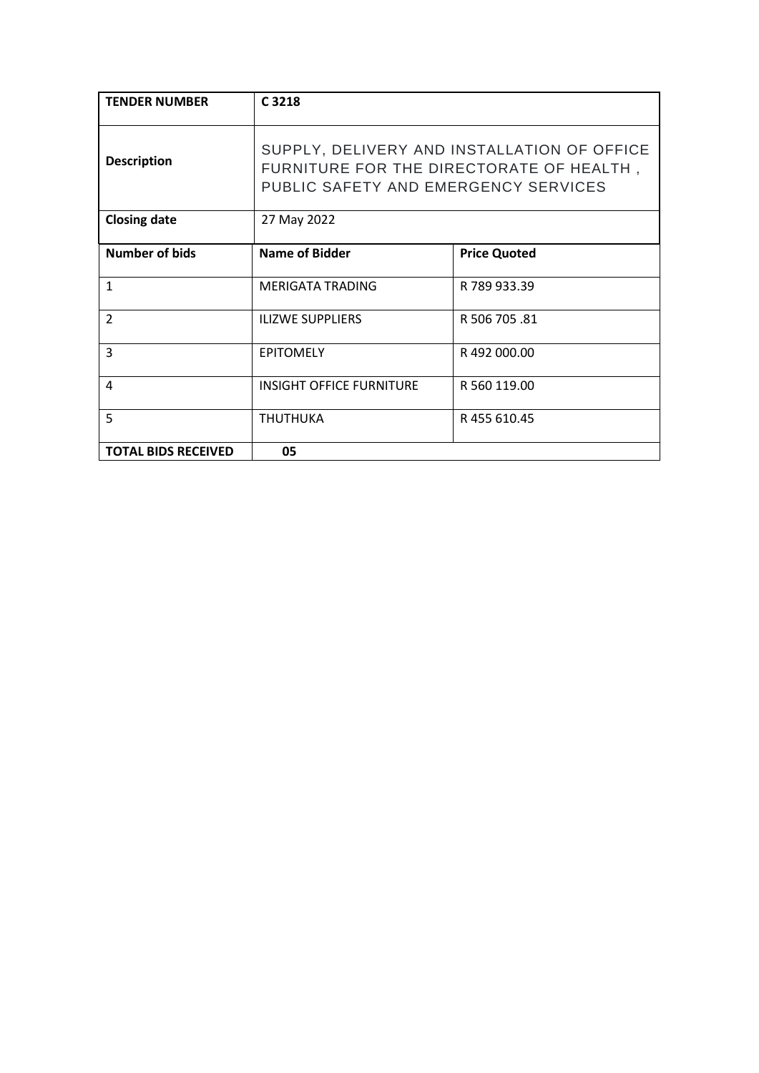| <b>TENDER NUMBER</b>       | C 3218                                                                                                                          |                     |
|----------------------------|---------------------------------------------------------------------------------------------------------------------------------|---------------------|
| <b>Description</b>         | SUPPLY, DELIVERY AND INSTALLATION OF OFFICE<br>FURNITURE FOR THE DIRECTORATE OF HEALTH,<br>PUBLIC SAFETY AND EMERGENCY SERVICES |                     |
| <b>Closing date</b>        | 27 May 2022                                                                                                                     |                     |
| <b>Number of bids</b>      | <b>Name of Bidder</b>                                                                                                           | <b>Price Quoted</b> |
| 1                          | <b>MERIGATA TRADING</b>                                                                                                         | R 789 933.39        |
| $\overline{2}$             | <b>ILIZWE SUPPLIERS</b>                                                                                                         | R 506 705 .81       |
| 3                          | <b>EPITOMELY</b>                                                                                                                | R492000.00          |
| 4                          | <b>INSIGHT OFFICE FURNITURE</b>                                                                                                 | R 560 119.00        |
| 5                          | <b>THUTHUKA</b>                                                                                                                 | R 455 610.45        |
| <b>TOTAL BIDS RECEIVED</b> | 05                                                                                                                              |                     |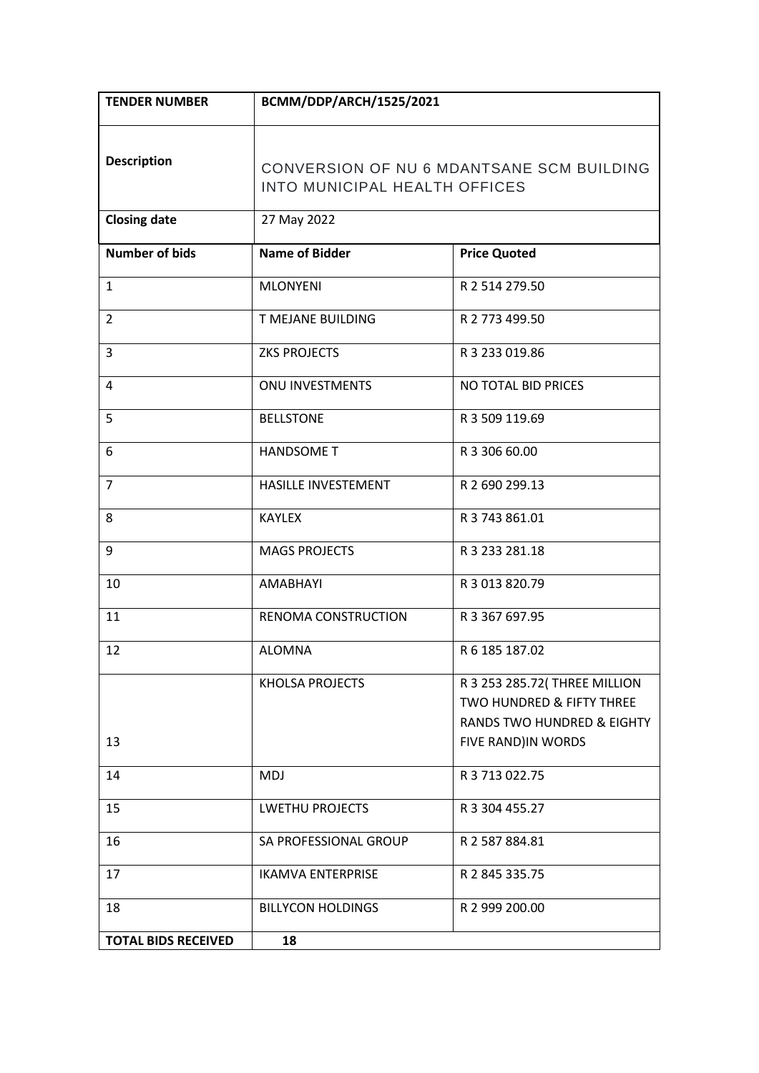| <b>TENDER NUMBER</b>       | BCMM/DDP/ARCH/1525/2021                                                    |                                                                                                                           |
|----------------------------|----------------------------------------------------------------------------|---------------------------------------------------------------------------------------------------------------------------|
| <b>Description</b>         | CONVERSION OF NU 6 MDANTSANE SCM BUILDING<br>INTO MUNICIPAL HEALTH OFFICES |                                                                                                                           |
| <b>Closing date</b>        | 27 May 2022                                                                |                                                                                                                           |
| <b>Number of bids</b>      | <b>Name of Bidder</b>                                                      | <b>Price Quoted</b>                                                                                                       |
| 1                          | <b>MLONYENI</b>                                                            | R 2 514 279.50                                                                                                            |
| $\overline{2}$             | T MEJANE BUILDING                                                          | R 2 773 499.50                                                                                                            |
| 3                          | <b>ZKS PROJECTS</b>                                                        | R 3 233 019.86                                                                                                            |
| 4                          | <b>ONU INVESTMENTS</b>                                                     | NO TOTAL BID PRICES                                                                                                       |
| 5                          | <b>BELLSTONE</b>                                                           | R 3 509 119.69                                                                                                            |
| 6                          | <b>HANDSOME T</b>                                                          | R 3 306 60.00                                                                                                             |
| $\overline{7}$             | HASILLE INVESTEMENT                                                        | R 2 690 299.13                                                                                                            |
| 8                          | <b>KAYLEX</b>                                                              | R 3 743 861.01                                                                                                            |
| 9                          | <b>MAGS PROJECTS</b>                                                       | R 3 233 281.18                                                                                                            |
| 10                         | AMABHAYI                                                                   | R 3 013 820.79                                                                                                            |
| 11                         | RENOMA CONSTRUCTION                                                        | R 3 367 697.95                                                                                                            |
| 12                         | <b>ALOMNA</b>                                                              | R 6 185 187.02                                                                                                            |
| 13                         | <b>KHOLSA PROJECTS</b>                                                     | R 3 253 285.72 (THREE MILLION<br>TWO HUNDRED & FIFTY THREE<br><b>RANDS TWO HUNDRED &amp; EIGHTY</b><br>FIVE RAND)IN WORDS |
| 14                         | <b>MDJ</b>                                                                 | R 3 713 022.75                                                                                                            |
| 15                         | <b>LWETHU PROJECTS</b>                                                     | R 3 304 455.27                                                                                                            |
| 16                         | SA PROFESSIONAL GROUP                                                      | R 2 587 884.81                                                                                                            |
| 17                         | <b>IKAMVA ENTERPRISE</b>                                                   | R 2 845 335.75                                                                                                            |
| 18                         | <b>BILLYCON HOLDINGS</b>                                                   | R 2 999 200.00                                                                                                            |
| <b>TOTAL BIDS RECEIVED</b> | 18                                                                         |                                                                                                                           |